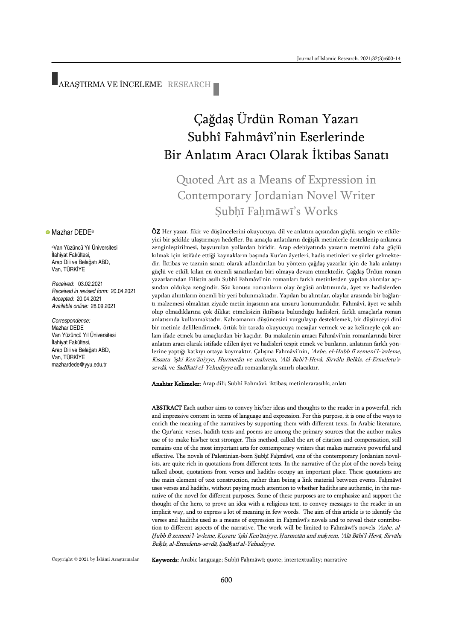# ARAŞTIRMA VE İNCELEME RESEARCH

# Çağdaş Ürdün Roman Yazarı Subhî Fahmâvî'nin Eserlerinde Bir Anlatım Aracı Olarak İktibas Sanatı

## Quoted Art as a Means of Expression in Contemporary Jordanian Novel Writer Subhī Fahmāwī's Works

ÖZ Her yazar, fikir ve düşüncelerini okuyucuya, dil ve anlatım açısından güçlü, zengin ve etkileyici bir şekilde ulaştırmayı hedefler. Bu amaçla anlatıların değişik metinlerle desteklenip anlamca zenginleştirilmesi, başvurulan yollardan biridir. Arap edebiyatında yazarın metnini daha güçlü kılmak için istifade ettiği kaynakların başında Kur'an âyetleri, hadis metinleri ve şiirler gelmektedir. İktibas ve tazmin sanatı olarak adlandırılan bu yöntem çağdaş yazarlar için de hala anlatıyı güçlü ve etkili kılan en önemli sanatlardan biri olmaya devam etmektedir. Çağdaş Ürdün roman yazarlarından Filistin asıllı Subhî Fahmâvî'nin romanları farklı metinlerden yapılan alıntılar açısından oldukça zengindir. Söz konusu romanların olay örgüsü anlatımında, âyet ve hadislerden yapılan alıntıların önemli bir yeri bulunmaktadır. Yapılan bu alıntılar, olaylar arasında bir bağlantı malzemesi olmaktan ziyade metin inşasının ana unsuru konumundadır. Fahmâvî, âyet ve sahih olup olmadıklarına çok dikkat etmeksizin iktibasta bulunduğu hadisleri, farklı amaçlarla roman anlatısında kullanmaktadır. Kahramanın düşüncesini vurgulayıp desteklemek, bir düşünceyi dinî bir metinle delillendirmek, örtük bir tarzda okuyucuya mesajlar vermek ve az kelimeyle çok anlam ifade etmek bu amaçlardan bir kaçıdır. Bu makalenin amacı Fahmâvî'nin romanlarında birer anlatım aracı olarak istifade edilen âyet ve hadisleri tespit etmek ve bunların, anlatının farklı yönlerine yaptığı katkıyı ortaya koymaktır. Çalışma Fahmâvî'nin, 'Azbe, el-Hubb fî zemeni'l-'avleme, Kıssatu 'işki Ken'âniyye, Hurmetân ve mahrem, 'Alâ Babi'l-Hevâ, Sirvâlu Belkîs, el-Ermeletu'ssevdâ, ve Sadîkatî el-Yehudiyye adlı romanlarıyla sınırlı olacaktır.

Anahtar Kelimeler: Arap dili; Subhî Fahmâvî; iktibas; metinlerarasılık; anlatı

ABSTRACT Each author aims to convey his/her ideas and thoughts to the reader in a powerful, rich and impressive content in terms of language and expression. For this purpose, it is one of the ways to enrich the meaning of the narratives by supporting them with different texts. In Arabic literature, the Qur'anic verses, hadith texts and poems are among the primary sources that the author makes use of to make his/her text stronger. This method, called the art of citation and compensation, still remains one of the most important arts for contemporary writers that makes narrative powerful and effective. The novels of Palestinian-born Ṣubḥî Faḥmâwî, one of the contemporary Jordanian novelists, are quite rich in quotations from different texts. In the narrative of the plot of the novels being talked about, quotations from verses and hadiths occupy an important place. These quotations are the main element of text construction, rather than being a link material between events. Faḥmāwī uses verses and hadiths, without paying much attention to whether hadiths are authentic, in the narrative of the novel for different purposes. Some of these purposes are to emphasize and support the thought of the hero, to prove an idea with a religious text, to convey messages to the reader in an implicit way, and to express a lot of meaning in few words. The aim of this article is to identify the verses and hadiths used as a means of expression in Faḥmâwî's novels and to reveal their contribution to different aspects of the narrative. The work will be limited to Fahmâwî's novels 'Azbe, al-*Ḫ*ubb fī zemeni'l-'avleme, *Ḳ*ı*ṣṣ*atu 'işki Ken'āniyye, *Ḥ*urmetān and ma*ḥ*rem, 'Alā Bābi'l-Hevā, Sirvālu Bel*ḳ*îs, al-Ermeletus-sevdā, *Ṣ*adî*ḳ*atî al-Yehudiyye.

Copyright © 2021 by İslâmî Araştırmalar

**• Mazhar DEDE**<sup>a</sup>

İlahiyat Fakültesi, Arap Dili ve Belağatı ABD, Van, TÜRKİYE

*Received:* 03.02.2021

*Accepted:* 20.04.2021 *Available online:* 28.09.2021

Van Yüzüncü Yıl Üniversitesi İlahiyat Fakültesi, Arap Dili ve Belağatı ABD, Van, TÜRKİYE [mazhardede@yyu.edu.tr](mailto:mazhardede@yyu.edu.tr)

*Correspondence:* Mazhar DEDE

*Received in revised form:* 20.04.2021

<sup>a</sup>Van Yüzüncü Yıl Üniversitesi

Keywords: Arabic language; Ṣubḥī Faḥmāwī; quote; intertextuality; narrative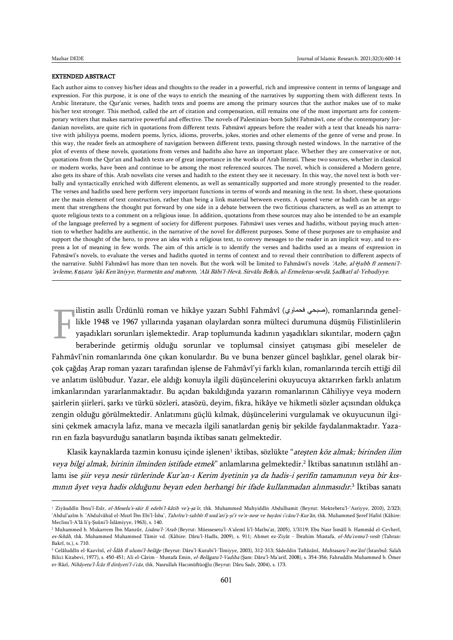$\overline{a}$ 

### EXTENDED ABSTRACT

Each author aims to convey his/her ideas and thoughts to the reader in a powerful, rich and impressive content in terms of language and expression. For this purpose, it is one of the ways to enrich the meaning of the narratives by supporting them with different texts. In Arabic literature, the Qur'anic verses, hadith texts and poems are among the primary sources that the author makes use of to make his/her text stronger. This method, called the art of citation and compensation, still remains one of the most important arts for contemporary writers that makes narrative powerful and effective. The novels of Palestinian-born Şubḥī Faḥmāwī, one of the contemporary Jordanian novelists, are quite rich in quotations from different texts. Faḥmāwī appears before the reader with a text that kneads his narrative with jahiliyya poems, modern poems, lyrics, idioms, proverbs, jokes, stories and other elements of the genre of verse and prose. In this way, the reader feels an atmosphere of navigation between different texts, passing through nested windows. In the narrative of the plot of events of these novels, quotations from verses and hadiths also have an important place. Whether they are conservative or not, quotations from the Qur'an and hadith texts are of great importance in the works of Arab literati. These two sources, whether in classical or modern works, have been and continue to be among the most referenced sources. The novel, which is considered a Modern genre, also gets its share of this. Arab novelists cite verses and hadith to the extent they see it necessary. In this way, the novel text is both verbally and syntactically enriched with different elements, as well as semantically supported and more strongly presented to the reader. The verses and hadiths used here perform very important functions in terms of words and meaning in the text. In short, these quotations are the main element of text construction, rather than being a link material between events. A quoted verse or hadith can be an argument that strengthens the thought put forward by one side in a debate between the two fictitious characters, as well as an attempt to quote religious texts to a comment on a religious issue. In addition, quotations from these sources may also be intended to be an example of the language preferred by a segment of society for different purposes. Faḥmāwī uses verses and hadiths, without paying much attention to whether hadiths are authentic, in the narrative of the novel for different purposes. Some of these purposes are to emphasize and support the thought of the hero, to prove an idea with a religious text, to convey messages to the reader in an implicit way, and to express a lot of meaning in few words. The aim of this article is to identify the verses and hadiths used as a means of expression in Faḥmāwī's novels, to evaluate the verses and hadiths quoted in terms of context and to reveal their contribution to different aspects of the narrative. Subhî Fahmâwî has more than ten novels. But the work will be limited to Fahmâwî's novels 'Azbe, al-*Ḫ*ubb fī zemeni'l- 'avleme, *Ḳ*ı*ṣṣ*atu 'işki Ken'āniyye, *Ḥ*urmetān and ma*ḥ*rem, 'Alā Bābi'l-Hevā, Sirvālu Bel*ḳ*îs, al-Ermeletus-sevdā, *Ṣ*adî*ḳ*atî al-Yehudiyye.

 $\parallel$ ilistin asıllı Ürdünlü roman ve hikâye yazarı Subhî Fahmâvî (صبحي فحماوي), romanlarında genellikle 1948 ve 1967 yıllarında yaşanan olaylardan sonra mülteci durumuna düşmüş Filistinlilerin yaşadıkları sorunları işlemektedir. Arap toplumunda kadının yaşadıkları sıkıntılar, modern çağın beraberinde getirmiş olduğu sorunlar ve toplumsal cinsiyet çatışması gibi meseleler de Fahmâvî'nin romanlarında öne çıkan konulardır. Bu ve buna benzer güncel başlıklar, genel olarak birçok çağdaş Arap roman yazarı tarafından işlense de Fahmâvî'yi farklı kılan, romanlarında tercih ettiği dil ve anlatım üslûbudur. Yazar, ele aldığı konuyla ilgili düşüncelerini okuyucuya aktarırken farklı anlatım imkanlarından yararlanmaktadır. Bu açıdan bakıldığında yazarın romanlarının Câhiliyye veya modern şairlerin şiirleri, şarkı ve türkü sözleri, atasözü, deyim, fıkra, hikâye ve hikmetli sözler açısından oldukça zengin olduğu görülmektedir. Anlatımını güçlü kılmak, düşüncelerini vurgulamak ve okuyucunun ilgisini çekmek amacıyla lafız, mana ve mecazla ilgili sanatlardan geniş bir şekilde faydalanmaktadır. Yazarın en fazla başvurduğu sanatların başında iktibas sanatı gelmektedir. F

Klasik kaynaklarda tazmin konusu içinde işlenen<sup>ı</sup> iktibas, sözlükte "*ateşten köz almak; birinden ilim* veya bilgi almak, birinin ilminden istifade etmek" anlamlarına gelmektedir.<sup>2</sup> İktibas sanatının ıstılâhî anlamı ise şiir veya nesir türlerinde Kur'an-ı Kerim âyetinin ya da hadis-i şerifin tamamının veya bir kısmının âyet veya hadis olduğunu beyan eden herhangi bir ifade kullanmadan alınmasıdır.<sup>3</sup> İktibas sanatı

<sup>&</sup>lt;sup>1</sup> Ziyâuddîn İbnu'l-Esîr, el-Meselu's-sâir fi edebi'l-kâtib ve'ş-şa'ir, thk. Muhammed Muhyiddîn Abdulhamit (Beyrut: Mektebetu'l-'Asriyye, 2010), 2/323; 'Abdul'azîm b. 'Abdulvâhid el-Mısrî İbn Ebi'l-İsba', Tahrîru't-tahbîr fî sınâ'ati'ş-şi'r ve'n-nesr ve bayâni i'câzu'l-Kur'ân, thk. Muhammed Şeref Hafnî (Kâhire: Meclisu'l-A'lâ li'ş-Şuûni'l-İslâmiyye, 1963), s. 140.

<sup>&</sup>lt;sup>2</sup> Muhammed b. Mukarrem İbn Manzûr, *Lisânu'l-'Arab* (Beyrut: Müessesetu'l-A'alemî li'l-Matbu'at, 2005), 1/3119; Ebu Nasr İsmâîl b. Hammâd el-Cevherî, es-Sıhâh, thk. Muhammed Muhammed Tâmir vd. (Kâhire: Dâru'l-Hadîs, 2009), s. 911; Ahmet ez-Ziyât - İbrahim Mustafa, el-Mu'cemu'l-vesît (Tahran: Bakrî, ts.), s. 710.

<sup>&</sup>lt;sup>3</sup> Celâluddîn el-Kazvînî, el-Îdâh fî ulumi'l-belâğe (Beyrut: Dâru'l-Kutubi'l-'Îlmiyye, 2003), 312-313; Sâdeddin Taftâzânî, Muhtasaru'l-me'ânî (İstanbul: Salah Bilici Kitabevi, 1977), s. 450-451; Ali el-Cârim - Mustafa Emin, el-Belâgatu'l-Vadiha (Sam: Dâru'l-Ma'arif, 2008), s. 354-356; Fahruddîn Muhammed b. Ömer er-Râzî, Nihâyetu'l-Îcâz fî dirâyeti'l-i'câz, thk. Nasrullah Hacımüftüoğlu (Beyrut: Dâru Sadr, 2004), s. 173.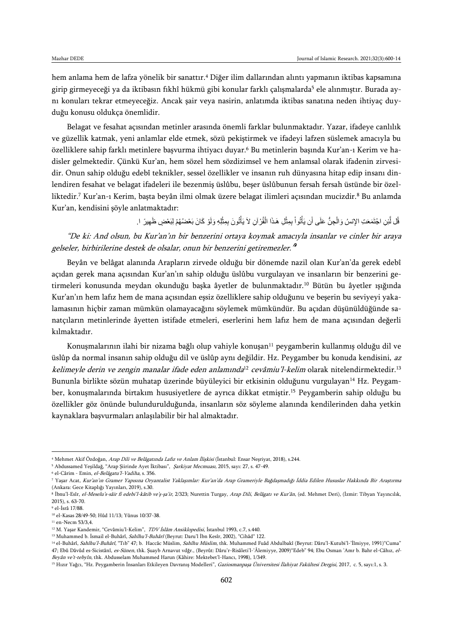hem anlama hem de lafza yönelik bir sanattır.<sup>4</sup> Diğer ilim dallarından alıntı yapmanın iktibas kapsamına girip girmeyeceği ya da iktibasın fikhî hükmü gibi konular farklı çalışmalarda<sup>5</sup> ele alınmıştır. Burada aynı konuları tekrar etmeyeceğiz. Ancak şair veya nasirin, anlatımda iktibas sanatına neden ihtiyaç duyduğu konusu oldukça önemlidir.

Belagat ve fesahat açısından metinler arasında önemli farklar bulunmaktadır. Yazar, ifadeye canlılık ve güzellik katmak, yeni anlamlar elde etmek, sözü pekiştirmek ve ifadeyi lafzen süslemek amacıyla bu özelliklere sahip farklı metinlere başvurma ihtiyacı duyar.<sup>6</sup> Bu metinlerin başında Kur'an-ı Kerim ve hadisler gelmektedir. Çünkü Kur'an, hem sözel hem sözdizimsel ve hem anlamsal olarak ifadenin zirvesidir. Onun sahip olduğu edebî teknikler, sessel özellikler ve insanın ruh dünyasına hitap edip insanı dinlendiren fesahat ve belagat ifadeleri ile bezenmiş üslûbu, beşer üslûbunun fersah fersah üstünde bir özelliktedir.<sup>7</sup> Kur'an-ı Kerim, başta beyân ilmi olmak üzere belagat ilimleri açısından mucizdir.<sup>8</sup> Bu anlamda Kur'an, kendisini şöyle anlatmaktadır:

> قُلْ لَّئِنِ اجْتَمَعَتِ الإِنسُ وَالْجِنُّ عَلَى أَن يَأْتُواْ بِمِثْلِ هَذَا الْقُرْ آنِ لاَ يَأْتُونَ بِمِثْلِهِ وَلَوْ كَانَ بَعْضُهُمْ لِبَعْضٍ ظَهِيرً ١. ْ ْ **ٔ** ْ **ٔ** ْ

"De ki: And olsun, bu Kur'an'ın bir benzerini ortaya koymak amacıyla insanlar ve cinler bir araya gelseler, birbirilerine destek de olsalar, onun bir benzerini getiremezler.'<sup>8</sup>

Beyân ve belâgat alanında Arapların zirvede olduğu bir dönemde nazil olan Kur'an'da gerek edebî açıdan gerek mana açısından Kur'an'ın sahip olduğu üslûbu vurgulayan ve insanların bir benzerini getirmeleri konusunda meydan okunduğu başka âyetler de bulunmaktadır.<sup>10</sup> Bütün bu âyetler ışığında Kur'an'ın hem lafız hem de mana açısından eşsiz özelliklere sahip olduğunu ve beşerin bu seviyeyi yakalamasının hiçbir zaman mümkün olamayacağını söylemek mümkündür. Bu açıdan düşünüldüğünde sanatçıların metinlerinde âyetten istifade etmeleri, eserlerini hem lafız hem de mana açısından değerli kılmaktadır.

Konuşmalarının ilahi bir nizama bağlı olup vahiyle konuşan<sup>11</sup> peygamberin kullanmış olduğu dil ve üslûp da normal insanın sahip olduğu dil ve üslûp aynı değildir. Hz. Peygamber bu konuda kendisini, az k*elimeyle derin ve zengin manalar ifade eden anlamında<sup>ı2</sup> cevâmiu'l-kelim* olarak nitelendirmektedir.<sup>13</sup> Bununla birlikte sözün muhatap üzerinde büyüleyici bir etkisinin olduğunu vurgulayan<sup>14</sup> Hz. Peygamber, konuşmalarında birtakım hususiyetlere de ayrıca dikkat etmiştir.<sup>15</sup> Peygamberin sahip olduğu bu özellikler göz önünde bulundurulduğunda, insanların söz söyleme alanında kendilerinden daha yetkin kaynaklara başvurmaları anlaşılabilir bir hal almaktadır.

<sup>4</sup> Mehmet Akif Özdoğan, Arap Dili ve Belâgatında Lafız ve Anlam İlişkisi (İstanbul: Ensar Neşriyat, 2018), s.244.

<sup>&</sup>lt;sup>5</sup> Abdussamed Yeşildağ, "Arap Şiirinde Ayet İktibası", *Şarkiyat Mecmuası*, 2015, sayı: 27, s. 47-49.

<sup>6</sup> el-Cârim - Emin, el-Belâgatu'l-Vadiha, s. 356.

<sup>7</sup> Yaşar Acat, Kur'an'ın Gramer Yapısına Oryantalist Yaklaşımlar: Kur'an'da Arap Grameriyle Bağdaşmadığı İddia Edilen Hususlar Hakkında Bir Araştırma (Ankara: Gece Kitaplığı Yayınları, 2019), s.30.

<sup>&</sup>lt;sup>8</sup> Ibnu'l-Esîr, *el-Meselu's-sâir fi edebi'l-kâtib ve'ş-şa'ir*, 2/323; Nurettin Turgay, *Arap Dili, Belâgatı ve Kur'ân*, (ed. Mehmet Deri), (Izmir: Tibyan Yayıncılık, 2015), s. 63-70.

<sup>9</sup> el-İsrâ 17/88.

<sup>10</sup> el-Kasas 28/49-50; Hûd 11/13; Yûnus 10/37-38.

 $11$  en-Necm 53/3,4.

<sup>&</sup>lt;sup>12</sup> M. Yaşar Kandemir, "Cevâmiu'l-Kelim", *TDV İslâm Ansiklopedisi*, İstanbul 1993, c.7, s.440.

<sup>&</sup>lt;sup>13</sup> Muhammed b. İsmail el-Buhârî, *Sahîhu'l-Buhârî* (Beyrut: Daru'l İbn Kesîr, 2002), "Cihâd" 122.

<sup>&</sup>lt;sup>14</sup> el-Buhârî, Sahîhu'l-Buhârî, "Tıb" 47; b. Haccâc Müslim, Sahîhu Müslim, thk. Muhammed Fuâd Abdulbakî (Beyrut: Dâru'l-Kutubi'l-'İlmiyye, 1991)"Cuma" 47; Ebû Dâvûd es-Sicistânî, es-Sünen, thk. Şuayb Arnavut vdğr., (Beyrût: Dâru'r-Risâleti'l-'Âlemiyye, 2009)"Edeb" 94; Ebu Osman 'Amr b. Bahr el-Câhız, el-Beyân ve't-tebyîn, thk. Abdusselam Muhammed Harun (Kâhire: Mektebet'l-Hancı, 1998), 1/349.

<sup>&</sup>lt;sup>15</sup> Hızır Yağcı, "Hz. Peygamberin İnsanları Etkileyen Davranış Modelleri", Gaziosmanpaşa Üniversitesi İlahiyat Fakültesi Dergisi, 2017, c. 5, sayı:1, s. 3.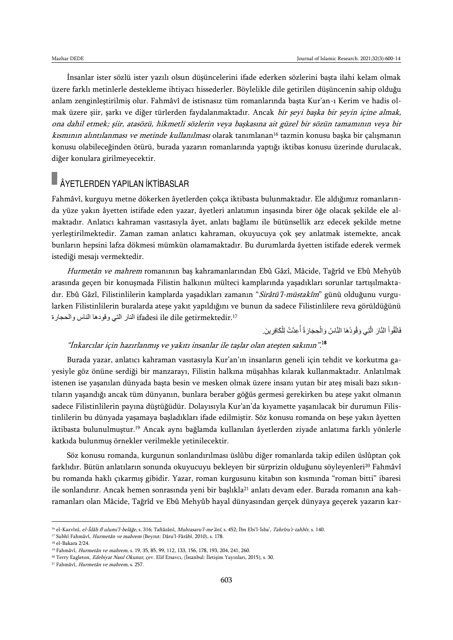İnsanlar ister sözlü ister yazılı olsun düşüncelerini ifade ederken sözlerini başta ilahi kelam olmak üzere farklı metinlerle destekleme ihtiyacı hissederler. Böylelikle dile getirilen düşüncenin sahip olduğu anlam zenginleştirilmiş olur. Fahmâvî de istisnasız tüm romanlarında başta Kur'an-ı Kerim ve hadis olmak üzere şiir, şarkı ve diğer türlerden faydalanmaktadır. Ancak bir şeyi başka bir şeyin içine almak, ona dahil etmek; şiir, atasözü, hikmetli sözlerin veya başkasına ait güzel bir sözün tamamının veya bir kısmının alıntılanması ve metinde kullanılması olarak tanımlanan<sup>16</sup> tazmin konusu başka bir çalışmanın konusu olabileceğinden ötürü, burada yazarın romanlarında yaptığı iktibas konusu üzerinde durulacak, diğer konulara girilmeyecektir.

## ÂYETLERDEN YAPILAN İKTİBASLAR

Fahmâvî, kurguyu metne dökerken âyetlerden çokça iktibasta bulunmaktadır. Ele aldığımız romanlarında yüze yakın âyetten istifade eden yazar, âyetleri anlatımın inşasında birer öğe olacak şekilde ele almaktadır. Anlatıcı kahraman vasıtasıyla âyet, anlatı bağlamı ile bütünsellik arz edecek şekilde metne yerleştirilmektedir. Zaman zaman anlatıcı kahraman, okuyucuya çok şey anlatmak istemekte, ancak bunların hepsini lafza dökmesi mümkün olamamaktadır. Bu durumlarda âyetten istifade ederek vermek istediği mesajı vermektedir.

Hurmetân ve mahrem romanının baş kahramanlarından Ebû Gâzî, Mâcide, Tağrîd ve Ebû Mehyûb arasında geçen bir konuşmada Filistin halkının mülteci kamplarında yaşadıkları sorunlar tartışılmaktadır. Ebû Gâzî, Filistinlilerin kamplarda yaşadıkları zamanın "Sirâtü'l-müstakîm" günü olduğunu vurgularken Filistinlilerin buralarda ateşe yakıt yapıldığını ve bunun da sadece Filistinlilere reva görüldüğünü .<sup>17</sup>getirmektedir dile ile ifadesi النار التي وقودها الناس والحجارة

> فَاتَّقُو اْ النَّارَ ۖ الَّتِي وَقُودُهَا النَّاسُ وَالْحِجَارَةُ أَعِدَّتْ لِلْكَافِرِينَ ۚ. ْ َّ ْ

### "İnkarcılar için hazırlanmış ve yakıtı insanlar ile taşlar olan ateşten sakının". 18

Burada yazar, anlatıcı kahraman vasıtasıyla Kur'an'ın insanların geneli için tehdit ve korkutma gayesiyle göz önüne serdiği bir manzarayı, Filistin halkına müşahhas kılarak kullanmaktadır. Anlatılmak istenen ise yaşanılan dünyada başta besin ve mesken olmak üzere insanı yutan bir ateş misali bazı sıkıntıların yaşandığı ancak tüm dünyanın, bunlara beraber göğüs germesi gerekirken bu ateşe yakıt olmanın sadece Filistinlilerin payına düştüğüdür. Dolayısıyla Kur'an'da kıyamette yaşanılacak bir durumun Filistinlilerin bu dünyada yaşamaya başladıkları ifade edilmiştir. Söz konusu romanda on beşe yakın âyetten iktibasta bulunulmuştur.<sup>19</sup> Ancak aynı bağlamda kullanılan âyetlerden ziyade anlatıma farklı yönlerle katkıda bulunmuş örnekler verilmekle yetinilecektir.

Söz konusu romanda, kurgunun sonlandırılması üslûbu diğer romanlarda takip edilen üslûptan çok farklıdır. Bütün anlatıların sonunda okuyucuyu bekleyen bir sürprizin olduğunu söyleyenleri<sup>20</sup> Fahmâvî bu romanda haklı çıkarmış gibidir. Yazar, roman kurgusunu kitabın son kısmında "roman bitti" ibaresi ile sonlandırır. Ancak hemen sonrasında yeni bir başlıkla<sup>21</sup> anlatı devam eder. Burada romanın ana kahramanları olan Mâcide, Tağrîd ve Ebû Mehyûb hayal dünyasından gerçek dünyaya geçerek yazarın kar-

<sup>&</sup>lt;sup>16</sup> el-Kazvînî, el-Îdâh fî ulumi'l-belâğe, s. 316; Taftâzânî, Muhtasaru'l-me'ânî, s. 452; Îbn Ebi'l-İsba', Tahrîru't-tahbîr, s. 140.

<sup>&</sup>lt;sup>17</sup> Subhî Fahmâvî, Hurmetân ve mahrem (Beyrut: Dâru'l-Fârâbî, 2010), s. 178.

<sup>18</sup> el-Bakara 2/24.

<sup>19</sup> Fahmâvî, Hurmetân ve mahrem, s. 19, 35, 85, 99, 112, 133, 156, 178, 193, 204, 241, 260.

<sup>&</sup>lt;sup>20</sup> Terry Eagleton, *Edebiyat Nasıl Okunur*, çev. Elif Ersavcı, (İstanbul: İletişim Yayınları, 2015), s. 30.

<sup>21</sup> Fahmâvî, Hurmetân ve mahrem, s. 257.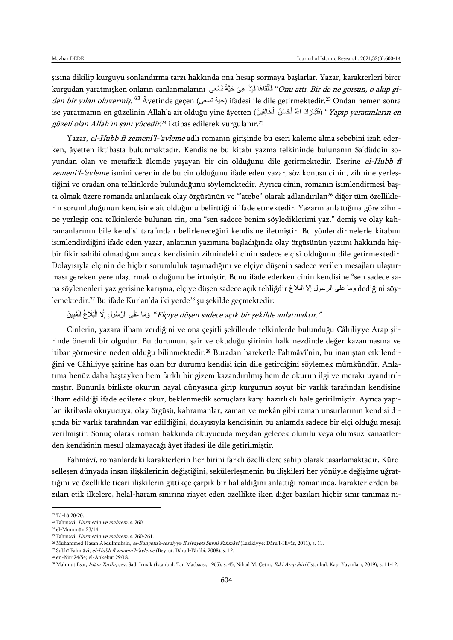şısına dikilip kurguyu sonlandırma tarzı hakkında ona hesap sormaya başlarlar. Yazar, karakterleri birer kurgudan yaratmışken onların canlanmalarını فَأَلْقَاهَا فَإِذَا هِيَ حَيَّةٌ تَسْعَى *Onu attı. Bir de ne görsün, o akıp gi-*ْ *den bir yılan oluvermiş."* <sup>22</sup> Âyetinde geçen (حية تسعى) ifadesi ile dile getirmektedir.<sup>23</sup> Ondan hemen sonra ise yaratmanın en güzelinin Allah'a ait olduğu yine âyetten (فَتَبَارَكَ اللَّهُ أَحْسَنُ الْخَالِقِينَ) "*Yapıp yaratanların en* ً<br>ا ْ *güzeli olan Allah'ın şanı yücedir.*<sup>24</sup> iktibas edilerek vurgulanır.<sup>25</sup>

Yazar, el-Hubb fî zemeni'l-'avleme adlı romanın girisinde bu eseri kaleme alma sebebini izah ederken, âyetten iktibasta bulunmaktadır. Kendisine bu kitabı yazma telkininde bulunanın Sa'düddîn soyundan olan ve metafizik âlemde yaşayan bir cin olduğunu dile getirmektedir. Eserine el-Hubb fî zemeni'l-'avleme ismini verenin de bu cin olduğunu ifade eden yazar, söz konusu cinin, zihnine yerleştiğini ve oradan ona telkinlerde bulunduğunu söylemektedir. Ayrıca cinin, romanın isimlendirmesi başta olmak üzere romanda anlatılacak olay örgüsünün ve "'atebe" olarak adlandırılan<sup>26</sup> diğer tüm özelliklerin sorumluluğunun kendisine ait olduğunu belirttiğini ifade etmektedir. Yazarın anlattığına göre zihnine yerleşip ona telkinlerde bulunan cin, ona "sen sadece benim söylediklerimi yaz." demiş ve olay kahramanlarının bile kendisi tarafından belirleneceğini kendisine iletmiştir. Bu yönlendirmelerle kitabını isimlendirdiğini ifade eden yazar, anlatının yazımına başladığında olay örgüsünün yazımı hakkında hiçbir fikir sahibi olmadığını ancak kendisinin zihnindeki cinin sadece elçisi olduğunu dile getirmektedir. Dolayısıyla elçinin de hiçbir sorumluluk taşımadığını ve elçiye düşenin sadece verilen mesajları ulaştırması gereken yere ulaştırmak olduğunu belirtmiştir. Bunu ifade ederken cinin kendisine "sen sadece sana söylenenleri yaz gerisine karışma, elçiye düşen sadece açık tebliğdir البالغ إال الرسول على وما dediğini söylemektedir.<sup>27</sup> Bu ifade Kur'an'da iki yerde<sup>28</sup> şu şekilde geçmektedir:

وَمَا عَلَى الرَّسُولِ إِلَّا الْبَلَاخُ الْمُبِينُ "Elçiye düşen sadece açık bir şekilde anlatmaktır." ْ ْ ן<br>ְ

Cinlerin, yazara ilham verdiğini ve ona çeşitli şekillerde telkinlerde bulunduğu Câhiliyye Arap şiirinde önemli bir olgudur. Bu durumun, şair ve okuduğu şiirinin halk nezdinde değer kazanmasına ve itibar görmesine neden olduğu bilinmektedir.<sup>29</sup> Buradan hareketle Fahmâvî'nin, bu inanıştan etkilendiğini ve Câhiliyye şairine has olan bir durumu kendisi için dile getirdiğini söylemek mümkündür. Anlatıma henüz daha baştayken hem farklı bir gizem kazandırılmış hem de okurun ilgi ve merakı uyandırılmıştır. Bununla birlikte okurun hayal dünyasına girip kurgunun soyut bir varlık tarafından kendisine ilham edildiği ifade edilerek okur, beklenmedik sonuçlara karşı hazırlıklı hale getirilmiştir. Ayrıca yapılan iktibasla okuyucuya, olay örgüsü, kahramanlar, zaman ve mekân gibi roman unsurlarının kendisi dışında bir varlık tarafından var edildiğini, dolayısıyla kendisinin bu anlamda sadece bir elçi olduğu mesajı verilmiştir. Sonuç olarak roman hakkında okuyucuda meydan gelecek olumlu veya olumsuz kanaatlerden kendisinin mesul olamayacağı âyet ifadesi ile dile getirilmiştir.

Fahmâvî, romanlardaki karakterlerin her birini farklı özelliklere sahip olarak tasarlamaktadır. Küreselleşen dünyada insan ilişkilerinin değiştiğini, sekülerleşmenin bu ilişkileri her yönüyle değişime uğrattığını ve özellikle ticari ilişkilerin gittikçe çarpık bir hal aldığını anlattığı romanında, karakterlerden bazıları etik ilkelere, helal-haram sınırına riayet eden özellikte iken diğer bazıları hiçbir sınır tanımaz ni-

 $\overline{\phantom{a}}$ 

<sup>22</sup> Tâ-hâ 20/20.

<sup>23</sup> Fahmâvî, Hurmetân ve mahrem, s. 260.

<sup>24</sup> el-Muminûn 23/14.

<sup>25</sup> Fahmâvî, Hurmetân ve mahrem, s. 260-261.

<sup>&</sup>lt;sup>26</sup> Muhammed Hasan Abdulmuhsin, el-Bunyetu's-serdiyye fî rivayeti Subhî Fahmâvî (Lazikiyye: Dâru'l-Hivâr, 2011), s. 11.

<sup>&</sup>lt;sup>27</sup> Subhî Fahmâvî, el-Hubb fî zemeni'l-'avleme (Beyrut: Dâru'l-Fârâbî, 2008), s. 12.

<sup>28</sup> en-Nûr 24/54; el-Ankebût 29/18.

<sup>&</sup>lt;sup>29</sup> Mahmut Esat, İslâm Tarihi, çev. Sadi Irmak (İstanbul: Tan Matbaası, 1965), s. 45; Nihad M. Çetin, Eski Arap Şiiri (İstanbul: Kapı Yayınları, 2019), s. 11-12.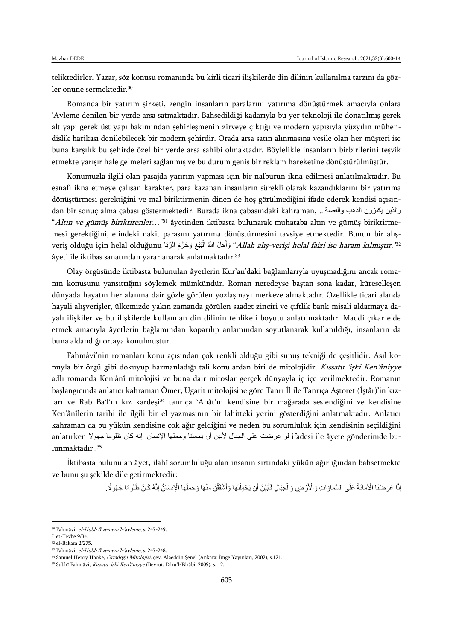teliktedirler. Yazar, söz konusu romanında bu kirli ticari ilişkilerde din dilinin kullanılma tarzını da gözler önüne sermektedir.<sup>30</sup>

Romanda bir yatırım şirketi, zengin insanların paralarını yatırıma dönüştürmek amacıyla onlara 'Avleme denilen bir yerde arsa satmaktadır. Bahsedildiği kadarıyla bu yer teknoloji ile donatılmış gerek alt yapı gerek üst yapı bakımından şehirleşmenin zirveye çıktığı ve modern yapısıyla yüzyılın mühendislik harikası denilebilecek bir modern şehirdir. Orada arsa satın alınmasına vesile olan her müşteri ise buna karşılık bu şehirde özel bir yerde arsa sahibi olmaktadır. Böylelikle insanların birbirilerini teşvik etmekte yarışır hale gelmeleri sağlanmış ve bu durum geniş bir reklam hareketine dönüştürülmüştür.

Konumuzla ilgili olan pasajda yatırım yapması için bir nalburun ikna edilmesi anlatılmaktadır. Bu esnafı ikna etmeye çalışan karakter, para kazanan insanların sürekli olarak kazandıklarını bir yatırıma dönüştürmesi gerektiğini ve mal biriktirmenin dinen de hoş görülmediğini ifade ederek kendisi açısından bir sonuç alma çabası göstermektedir. Burada ikna çabasındaki kahraman, ...فوالذين يكنزون الذهب والفضة ... "*Altın ve gümüş biriktirenler…"*<sup>31</sup> âyetinden iktibasta bulunarak muhataba altın ve gümüş biriktirmemesi gerektiğini, elindeki nakit parasını yatırıma dönüştürmesini tavsiye etmektedir. Bunun bir alışveriş olduğu için helal olduğunu (أَلْبَلُغ وَحَرَّمَ الرِّبَا "A*llah alış-verişi helal faizi ise haram kılmıştır."* َ َ âyeti ile iktibas sanatından yararlanarak anlatmaktadır.<sup>33</sup>

Olay örgüsünde iktibasta bulunulan âyetlerin Kur'an'daki bağlamlarıyla uyuşmadığını ancak romanın konusunu yansıttığını söylemek mümkündür. Roman neredeyse baştan sona kadar, küreselleşen dünyada hayatın her alanına dair gözle görülen yozlaşmayı merkeze almaktadır. Özellikle ticari alanda hayali alışverişler, ülkemizde yakın zamanda görülen saadet zinciri ve çiftlik bank misali aldatmaya dayalı ilişkiler ve bu ilişkilerde kullanılan din dilinin tehlikeli boyutu anlatılmaktadır. Maddi çıkar elde etmek amacıyla âyetlerin bağlamından koparılıp anlamından soyutlanarak kullanıldığı, insanların da buna aldandığı ortaya konulmuştur.

Fahmâvî'nin romanları konu açısından çok renkli olduğu gibi sunuş tekniği de çeşitlidir. Asıl konuyla bir örgü gibi dokuyup harmanladığı tali konulardan biri de mitolojidir. Kıssatu 'işki Ken'âniyye adlı romanda Ken'ânî mitolojisi ve buna dair mitoslar gerçek dünyayla iç içe verilmektedir. Romanın başlangıcında anlatıcı kahraman Ömer, Ugarit mitolojisine göre Tanrı İl ile Tanrıça Aştoret (İştâr)'in kızları ve Rab Ba'l'ın kız kardeşi<sup>34</sup> tanrıça 'Anât'ın kendisine bir mağarada seslendiğini ve kendisine Ken'ânîlerin tarihi ile ilgili bir el yazmasının bir lahitteki yerini gösterdiğini anlatmaktadır. Anlatıcı kahraman da bu yükün kendisine çok ağır geldiğini ve neden bu sorumluluk için kendisinin seçildiğini anlatırken لو عرضت على الجبال لأبين أن يحملنا وحملها الإنسان. إنه كان ظلوما جهولا ifadesi ile âyete gönderimde bu<br>lunmaktadır..<sup>35</sup>

İktibasta bulunulan âyet, ilahî sorumluluğu alan insanın sırtındaki yükün ağırlığından bahsetmekte ve bunu şu şekilde dile getirmektedir:

> إِنَّا عَرَضْنَا الْأَمَانَةَ عَلَى السَّمَاوَاتِ وَالْأَرْضِ وَالْجِبَالِ فَأَبَيْنَ أَن يَحْمِلْنَهَا وَأَسْفَقْنَ مِنْهَا وَحَمَلَهَا الْإِنسَانُ إِنَّهُ كَانَ ظَلُومًا جَهُولًا . َ ْ َ ْ

<sup>30</sup> Fahmâvî, el-Hubb fî zemeni'l-'avleme, s. 247-249.

<sup>31</sup> et-Tevbe 9/34.

<sup>32</sup> el-Bakara 2/275.

<sup>33</sup> Fahmâvî, el-Hubb fî zemeni'l-'avleme, s. 247-248.

<sup>&</sup>lt;sup>34</sup> Samuel Henry Hooke, *Ortadoğu Mitolojisi*, çev. Alâeddin Senel (Ankara: İmge Yayınları, 2002), s.121.

<sup>&</sup>lt;sup>35</sup> Subhî Fahmâvî, Kıssatu 'işki Ken'âniyye (Beyrut: Dâru'l-Fârâbî, 2009), s. 12.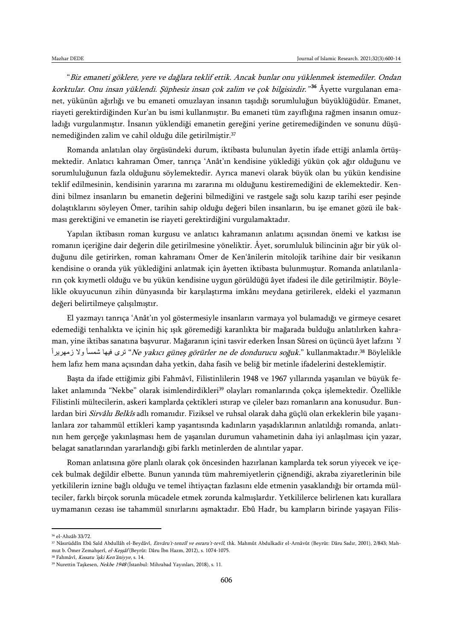"Biz emaneti göklere, yere ve dağlara teklif ettik. Ancak bunlar onu yüklenmek istemediler. Ondan k*orktular. Onu insan yüklendi. Şüphesiz insan çok zalim ve çok bilgisizdir."<sup>36</sup> Âyette vurgulanan ema*net, yükünün ağırlığı ve bu emaneti omuzlayan insanın taşıdığı sorumluluğun büyüklüğüdür. Emanet, riayeti gerektirdiğinden Kur'an bu ismi kullanmıştır. Bu emaneti tüm zayıflığına rağmen insanın omuzladığı vurgulanmıştır. İnsanın yüklendiği emanetin gereğini yerine getiremediğinden ve sonunu düşünemediğinden zalim ve cahil olduğu dile getirilmiştir.<sup>37</sup>

Romanda anlatılan olay örgüsündeki durum, iktibasta bulunulan âyetin ifade ettiği anlamla örtüşmektedir. Anlatıcı kahraman Ömer, tanrıça 'Anât'ın kendisine yüklediği yükün çok ağır olduğunu ve sorumluluğunun fazla olduğunu söylemektedir. Ayrıca manevi olarak büyük olan bu yükün kendisine teklif edilmesinin, kendisinin yararına mı zararına mı olduğunu kestiremediğini de eklemektedir. Kendini bilmez insanların bu emanetin değerini bilmediğini ve rastgele sağı solu kazıp tarihi eser peşinde dolaştıklarını söyleyen Ömer, tarihin sahip olduğu değeri bilen insanların, bu işe emanet gözü ile bakması gerektiğini ve emanetin ise riayeti gerektirdiğini vurgulamaktadır.

Yapılan iktibasın roman kurgusu ve anlatıcı kahramanın anlatımı açısından önemi ve katkısı ise romanın içeriğine dair değerin dile getirilmesine yöneliktir. Âyet, sorumluluk bilincinin ağır bir yük olduğunu dile getirirken, roman kahramanı Ömer de Ken'ânilerin mitolojik tarihine dair bir vesikanın kendisine o oranda yük yüklediğini anlatmak için âyetten iktibasta bulunmuştur. Romanda anlatılanların çok kıymetli olduğu ve bu yükün kendisine uygun görüldüğü âyet ifadesi ile dile getirilmiştir. Böylelikle okuyucunun zihin dünyasında bir karşılaştırma imkânı meydana getirilerek, eldeki el yazmanın değeri belirtilmeye çalışılmıştır.

El yazmayı tanrıça 'Anât'ın yol göstermesiyle insanların varmaya yol bulamadığı ve girmeye cesaret edemediği tenhalıkta ve içinin hiç ışık göremediği karanlıkta bir mağarada bulduğu anlatılırken kahraman, yine iktibas sanatına başvurur. Mağaranın içini tasvir ederken İnsan Sûresi on üçüncü âyet lafzını ال زري فيها شمسأ ولا زمهريرا *"Ne yakıcı güneş görürler ne de dondurucu soğuk.*" kullanmaktadır.<sup>38</sup> Böylelikle hem lafız hem mana açısından daha yetkin, daha fasih ve beliğ bir metinle ifadelerini desteklemiştir.

Başta da ifade ettiğimiz gibi Fahmâvî, Filistinlilerin 1948 ve 1967 yıllarında yaşanılan ve büyük felaket anlamında "Nekbe" olarak isimlendirdikleri<sup>39</sup> olayları romanlarında çokça işlemektedir. Özellikle Filistinli mültecilerin, askeri kamplarda çektikleri ıstırap ve çileler bazı romanların ana konusudur. Bunlardan biri *Sirvâlu Belkîs* adlı romanıdır. Fiziksel ve ruhsal olarak daha güçlü olan erkeklerin bile yaşanılanlara zor tahammül ettikleri kamp yaşantısında kadınların yaşadıklarının anlatıldığı romanda, anlatının hem gerçeğe yakınlaşması hem de yaşanılan durumun vahametinin daha iyi anlaşılması için yazar, belagat sanatlarından yararlandığı gibi farklı metinlerden de alıntılar yapar.

Roman anlatısına göre planlı olarak çok öncesinden hazırlanan kamplarda tek sorun yiyecek ve içecek bulmak değildir elbette. Bunun yanında tüm mahremiyetlerin çiğnendiği, akraba ziyaretlerinin bile yetkililerin iznine bağlı olduğu ve temel ihtiyaçtan fazlasını elde etmenin yasaklandığı bir ortamda mülteciler, farklı birçok sorunla mücadele etmek zorunda kalmışlardır. Yetkililerce belirlenen katı kurallara uymamanın cezası ise tahammül sınırlarını aşmaktadır. Ebû Hadr, bu kampların birinde yaşayan Filis-

<sup>36</sup> el-Ahzâb 33/72.

<sup>37</sup> Nâsırüddîn Ebû Saîd Abdullâh el-Beydâvî, Envâru't-tenzîl ve esraru't-tevîl, thk. Mahmût Abdulkadir el-Arnâvût (Beyrût: Dâru Sadır, 2001), 2/843; Mahmut b. Ömer Zemahşerî, el-Keşşâf (Beyrût: Dâru İbn Hazm, 2012), s. 1074-1075.

<sup>38</sup> Fahmâvî, Kıssatu 'işki Ken'âniyye, s. 14.

<sup>&</sup>lt;sup>39</sup> Nurettin Taşkesen, Nekbe 1948 (İstanbul: Mihrabad Yayınları, 2018), s. 11.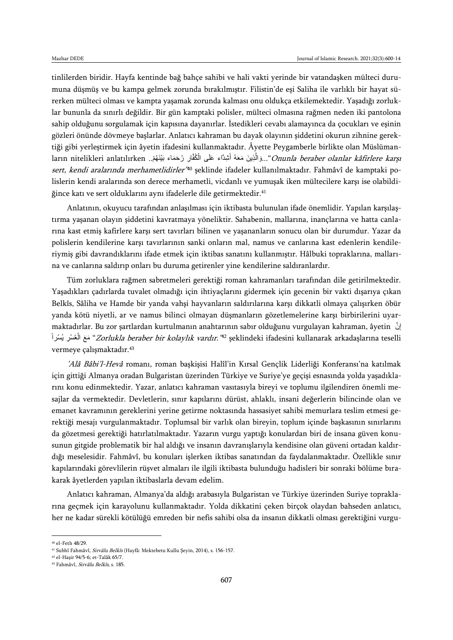tinlilerden biridir. Hayfa kentinde bağ bahçe sahibi ve hali vakti yerinde bir vatandaşken mülteci durumuna düşmüş ve bu kampa gelmek zorunda bırakılmıştır. Filistin'de eşi Saliha ile varlıklı bir hayat sürerken mülteci olması ve kampta yaşamak zorunda kalması onu oldukça etkilemektedir. Yaşadığı zorluklar bununla da sınırlı değildir. Bir gün kamptaki polisler, mülteci olmasına rağmen neden iki pantolona sahip olduğunu sorgulamak için kapısına dayanırlar. İstedikleri cevabı alamayınca da çocukları ve eşinin gözleri önünde dövmeye başlarlar. Anlatıcı kahraman bu dayak olayının şiddetini okurun zihnine gerektiği gibi yerleştirmek için âyetin ifadesini kullanmaktadır. Âyette Peygamberle birlikte olan Müslümanların nitelikleri anlatılırken ...وَالَّذِينَ مَعَهُ أَشِدًّاء عَلَى الْكُفَّارِ رُحَمَاء بَيْنَهُمْ.. ların nitelikleri anlatılırken ْ اً<br>ا َّ *sert, kendi aralarında merhametlidirler'*<sup>40</sup> şeklinde ifadeler kullanılmaktadır. Fahmâvî de kamptaki polislerin kendi aralarında son derece merhametli, vicdanlı ve yumuşak iken mültecilere karşı ise olabildiğince katı ve sert olduklarını aynı ifadelerle dile getirmektedir.<sup>41</sup>

Anlatının, okuyucu tarafından anlaşılması için iktibasta bulunulan ifade önemlidir. Yapılan karşılaştırma yaşanan olayın şiddetini kavratmaya yöneliktir. Sahabenin, mallarına, inançlarına ve hatta canlarına kast etmiş kafirlere karşı sert tavırları bilinen ve yaşananların sonucu olan bir durumdur. Yazar da polislerin kendilerine karşı tavırlarının sanki onların mal, namus ve canlarına kast edenlerin kendileriymiş gibi davrandıklarını ifade etmek için iktibas sanatını kullanmıştır. Hâlbuki topraklarına, mallarına ve canlarına saldırıp onları bu duruma getirenler yine kendilerine saldıranlardır.

Tüm zorluklara rağmen sabretmeleri gerektiği roman kahramanları tarafından dile getirilmektedir. Yaşadıkları çadırlarda tuvalet olmadığı için ihtiyaçlarını gidermek için gecenin bir vakti dışarıya çıkan Belkîs, Sâliha ve Hamde bir yanda vahşi hayvanların saldırılarına karşı dikkatli olmaya çalışırken öbür yanda kötü niyetli, ar ve namus bilinci olmayan düşmanların gözetlemelerine karşı birbirilerini uyarmaktadırlar. Bu zor şartlardan kurtulmanın anahtarının sabır olduğunu vurgulayan kahraman, âyetin نَّ إ ِ مَعَ الْعُسْرِ يُسْراً *Zorlukla beraber bir kolaylık vardır."*<sup>42</sup> şeklindeki ifadesini kullanarak arkadaşlarına teselli ْ vermeye çalışmaktadır.<sup>43</sup>

'Alâ Bâbi'l-Hevâ romanı, roman başkişisi Halîl'in Kırsal Gençlik Liderliği Konferansı'na katılmak için gittiği Almanya oradan Bulgaristan üzerinden Türkiye ve Suriye'ye geçişi esnasında yolda yaşadıklarını konu edinmektedir. Yazar, anlatıcı kahraman vasıtasıyla bireyi ve toplumu ilgilendiren önemli mesajlar da vermektedir. Devletlerin, sınır kapılarını dürüst, ahlaklı, insani değerlerin bilincinde olan ve emanet kavramının gereklerini yerine getirme noktasında hassasiyet sahibi memurlara teslim etmesi gerektiği mesajı vurgulanmaktadır. Toplumsal bir varlık olan bireyin, toplum içinde başkasının sınırlarını da gözetmesi gerektiği hatırlatılmaktadır. Yazarın vurgu yaptığı konulardan biri de insana güven konusunun gitgide problematik bir hal aldığı ve insanın davranışlarıyla kendisine olan güveni ortadan kaldırdığı meselesidir. Fahmâvî, bu konuları işlerken iktibas sanatından da faydalanmaktadır. Özellikle sınır kapılarındaki görevlilerin rüşvet almaları ile ilgili iktibasta bulunduğu hadisleri bir sonraki bölüme bırakarak âyetlerden yapılan iktibaslarla devam edelim.

Anlatıcı kahraman, Almanya'da aldığı arabasıyla Bulgaristan ve Türkiye üzerinden Suriye topraklarına geçmek için karayolunu kullanmaktadır. Yolda dikkatini çeken birçok olaydan bahseden anlatıcı, her ne kadar sürekli kötülüğü emreden bir nefis sahibi olsa da insanın dikkatli olması gerektiğini vurgu-

 $\overline{\phantom{a}}$ 

<sup>40</sup> el-Feth 48/29.

<sup>41</sup> Subhî Fahmâvî, Sirvâlu Belkîs (Hayfâ: Mektebetu Kullu Şeyin, 2014), s. 156-157.

<sup>42</sup> el-Haşir 94/5-6; et-Talâk 65/7.

<sup>43</sup> Fahmâvî, Sirvâlu Belkîs, s. 185.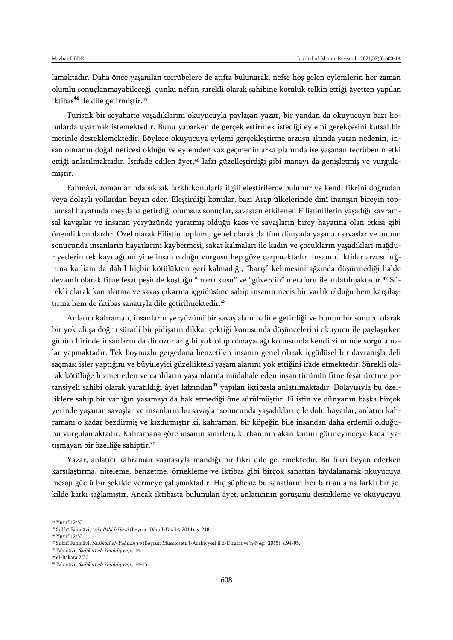lamaktadır. Daha önce yaşanılan tecrübelere de atıfta bulunarak, nefse hoş gelen eylemlerin her zaman olumlu sonuçlanmayabileceği, çünkü nefsin sürekli olarak sahibine kötülük telkin ettiği âyetten yapılan iktibas<sup>44</sup> ile dile getirmiştir.<sup>45</sup>

Turistik bir seyahatte yaşadıklarını okuyucuyla paylaşan yazar, bir yandan da okuyucuyu bazı konularda uyarmak istemektedir. Bunu yaparken de gerçekleştirmek istediği eylemi gerekçesini kutsal bir metinle desteklemektedir. Böylece okuyucuya eylemi gerçekleştirme arzusu altında yatan nedenin, insan olmanın doğal neticesi olduğu ve eylemden vaz geçmenin arka planında ise yaşanan tecrübenin etki ettiği anlatılmaktadır. İstifade edilen âyet,<sup>46</sup> lafzı güzelleştirdiği gibi manayı da genişletmiş ve vurgulamıştır.

Fahmâvî, romanlarında sık sık farklı konularla ilgili eleştirilerde bulunur ve kendi fikrini doğrudan veya dolaylı yollardan beyan eder. Eleştirdiği konular, bazı Arap ülkelerinde dinî inanışın bireyin toplumsal hayatında meydana getirdiği olumsuz sonuçlar, savaştan etkilenen Filistinlilerin yaşadığı kavramsal kavgalar ve insanın yeryüzünde yaratmış olduğu kaos ve savaşların birey hayatına olan etkisi gibi önemli konulardır. Özel olarak Filistin toplumu genel olarak da tüm dünyada yaşanan savaşlar ve bunun sonucunda insanların hayatlarını kaybetmesi, sakat kalmaları ile kadın ve çocukların yaşadıkları mağduriyetlerin tek kaynağının yine insan olduğu vurgusu hep göze çarpmaktadır. İnsanın, iktidar arzusu uğruna katliam da dahil hiçbir kötülükten geri kalmadığı, "barış" kelimesini ağzında düşürmediği halde devamlı olarak fitne fesat peşinde koştuğu "martı kuşu" ve "güvercin" metaforu ile anlatılmaktadır.<sup>47</sup> Sürekli olarak kan akıtma ve savaş çıkarma içgüdüsüne sahip insanın necis bir varlık olduğu hem karşılaştırma hem de iktibas sanatıyla dile getirilmektedir.<sup>48</sup>

Anlatıcı kahraman, insanların yeryüzünü bir savaş alanı haline getirdiği ve bunun bir sonucu olarak bir yok oluşa doğru süratli bir gidişatın dikkat çektiği konusunda düşüncelerini okuyucu ile paylaşırken günün birinde insanların da dinozorlar gibi yok olup olmayacağı konusunda kendi zihninde sorgulamalar yapmaktadır. Tek boynuzlu gergedana benzetilen insanın genel olarak içgüdüsel bir davranışla deli saçması işler yaptığını ve büyüleyici güzellikteki yaşam alanını yok ettiğini ifade etmektedir. Sürekli olarak kötülüğe hizmet eden ve canlıların yaşamlarına müdahale eden insan türünün fitne fesat üretme potansiyeli sahibi olarak yaratıldığı âyet lafzından<sup>49</sup> yapılan iktibasla anlatılmaktadır. Dolayısıyla bu özelliklere sahip bir varlığın yaşamayı da hak etmediği öne sürülmüştür. Filistin ve dünyanın başka birçok yerinde yaşanan savaşlar ve insanların bu savaşlar sonucunda yaşadıkları çile dolu hayatlar, anlatıcı kahramanı o kadar bezdirmiş ve kızdırmıştır ki, kahraman, bir köpeğin bile insandan daha erdemli olduğunu vurgulamaktadır. Kahramana göre insanın sinirleri, kurbanının akan kanını görmeyinceye kadar yatışmayan bir özelliğe sahiptir.<sup>50</sup>

Yazar, anlatıcı kahraman vasıtasıyla inandığı bir fikri dile getirmektedir. Bu fikri beyan ederken karşılaştırma, niteleme, benzetme, örnekleme ve iktibas gibi birçok sanattan faydalanarak okuyucuya mesajı güçlü bir şekilde vermeye çalışmaktadır. Hiç şüphesiz bu sanatların her biri anlama farklı bir şekilde katkı sağlamıştır. Ancak iktibasta bulunulan âyet, anlatıcının görüşünü destekleme ve okuyucuyu

<sup>44</sup> Yusuf 12/53.

<sup>45</sup> Subhî Fahmâvî, 'Alâ Bâbi'l-Hevâ (Beyrut: Dâru'l-Fârâbî, 2014), s. 218.

<sup>46</sup> Yusuf 12/53.

<sup>47</sup> Subhî Fahmâvî, Sadîkatî el-Yehûdiyye (Beyrut: Müessesetu'l-Arabiyyeti li'd-Dirasat ve'n-Neşr, 2015), s.94-95.

<sup>48</sup> Fahmâvî, Sadîkatî el-Yehûdiyye, s. 14.

<sup>49</sup> el-Bakara 2/30.

<sup>50</sup> Fahmâvî, Sadîkatî el-Yehûdiyye, s. 14-15.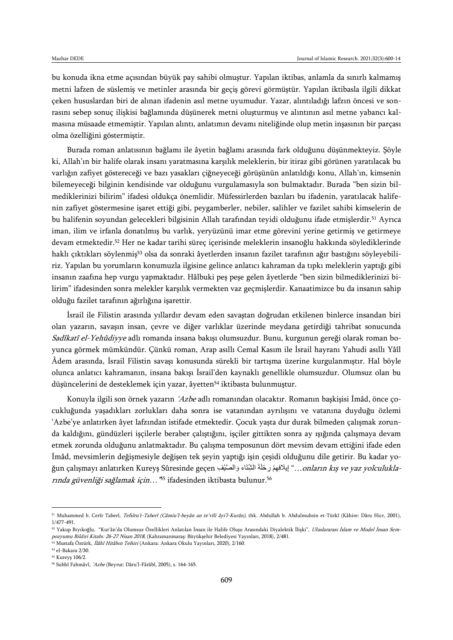bu konuda ikna etme açısından büyük pay sahibi olmuştur. Yapılan iktibas, anlamla da sınırlı kalmamış metni lafzen de süslemiş ve metinler arasında bir geçiş görevi görmüştür. Yapılan iktibasla ilgili dikkat çeken hususlardan biri de alınan ifadenin asıl metne uyumudur. Yazar, alıntıladığı lafzın öncesi ve sonrasını sebep sonuç ilişkisi bağlamında düşünerek metni oluşturmuş ve alıntının asıl metne yabancı kalmasına müsaade etmemiştir. Yapılan alıntı, anlatımın devamı niteliğinde olup metin inşasının bir parçası olma özelliğini göstermiştir.

Burada roman anlatısının bağlamı ile âyetin bağlamı arasında fark olduğunu düşünmekteyiz. Şöyle ki, Allah'ın bir halife olarak insanı yaratmasına karşılık meleklerin, bir itiraz gibi görünen yaratılacak bu varlığın zafiyet göstereceği ve bazı yasakları çiğneyeceği görüşünün anlatıldığı konu, Allah'ın, kimsenin bilemeyeceği bilginin kendisinde var olduğunu vurgulamasıyla son bulmaktadır. Burada "ben sizin bilmediklerinizi bilirim" ifadesi oldukça önemlidir. Müfessirlerden bazıları bu ifadenin, yaratılacak halifenin zafiyet göstermesine işaret ettiği gibi, peygamberler, nebiler, salihler ve fazilet sahibi kimselerin de bu halifenin soyundan gelecekleri bilgisinin Allah tarafından teyidi olduğunu ifade etmişlerdir.<sup>51</sup> Ayrıca iman, ilim ve irfanla donatılmış bu varlık, yeryüzünü imar etme görevini yerine getirmiş ve getirmeye devam etmektedir.<sup>52</sup> Her ne kadar tarihi süreç içerisinde meleklerin insanoğlu hakkında söylediklerinde haklı çıktıkları söylenmiş<sup>53</sup> olsa da sonraki âyetlerden insanın fazilet tarafının ağır bastığını söyleyebiliriz. Yapılan bu yorumların konumuzla ilgisine gelince anlatıcı kahraman da tıpkı meleklerin yaptığı gibi insanın zaafına hep vurgu yapmaktadır. Hâlbuki peş peşe gelen âyetlerde "ben sizin bilmediklerinizi bilirim" ifadesinden sonra melekler karşılık vermekten vaz geçmişlerdir. Kanaatimizce bu da insanın sahip olduğu fazilet tarafının ağırlığına işarettir.

İsrail ile Filistin arasında yıllardır devam eden savaştan doğrudan etkilenen binlerce insandan biri olan yazarın, savaşın insan, çevre ve diğer varlıklar üzerinde meydana getirdiği tahribat sonucunda Sadîkatî el-Yehûdiyye adlı romanda insana bakışı olumsuzdur. Bunu, kurgunun gereği olarak roman boyunca görmek mümkündür. Çünkü roman, Arap asıllı Cemal Kasım ile İsrail hayranı Yahudi asıllı Yâîl Âdem arasında, İsrail Filistin savaşı konusunda sürekli bir tartışma üzerine kurgulanmıştır. Hal böyle olunca anlatıcı kahramanın, insana bakışı İsrail'den kaynaklı genellikle olumsuzdur. Olumsuz olan bu düşüncelerini de desteklemek için yazar, âyetten<sup>54</sup> iktibasta bulunmuştur.

Konuyla ilgili son örnek yazarın 'Azbe adlı romanından olacaktır. Romanın başkişisi İmâd, önce çocukluğunda yaşadıkları zorlukları daha sonra ise vatanından ayrılışını ve vatanına duyduğu özlemi 'Azbe'ye anlatırken âyet lafzından istifade etmektedir. Çocuk yaşta dur durak bilmeden çalışmak zorunda kaldığını, gündüzleri işçilerle beraber çalıştığını, işçiler gittikten sonra ay ışığında çalışmaya devam etmek zorunda olduğunu anlatmaktadır. Bu çalışma temposunun dört mevsim devam ettiğini ifade eden İmâd, mevsimlerin değişmesiyle değişen tek şeyin yaptığı işin çeşidi olduğunu dile getirir. Bu kadar yoğun çalışmayı anlatırken Kureyş Sûresinde geçen وَالصَّنْفِ ,*onların kış ve yaz yolculukla*- " إيلافِهِمْ رِحْلَةَ الشِّتَاء وَالصَّنْفِ *rında güvenliği sağlamak için…"*<sup>55</sup> ifadesinden iktibasta bulunur.<sup>56</sup>

 $\overline{\phantom{a}}$ 

<sup>51</sup> Muhammed b. Cerîr Taberî, Tefsîru't-Taberî (Câmiu'l-beyân an te'vîli âyi'l-Kurân), thk. Abdullah b. Abdulmuhsin et-Türkî (Kâhire: Dâru Hicr, 2001), 1/477-491.

<sup>52</sup> Yakup Bıyıkoğlu, "Kur'ân'da Olumsuz Özellikleri Anlatılan İnsan ile Halife Oluşu Arasındaki Diyalektik İlişki", Uluslararası İslam ve Model İnsan Sempozyumu Bildiri Kitabı: 26-27 Nisan 2018, (Kahramanmaraş: Büyükşehir Belediyesi Yayınları, 2018), 2/481.

<sup>53</sup> Mustafa Öztürk, İlâhî Hitâbın Tefsiri (Ankara: Ankara Okulu Yayınları, 2020), 2/160.

<sup>54</sup> el-Bakara 2/30. <sup>55</sup> Kureyş 106/2.

<sup>&</sup>lt;sup>56</sup> Subhî Fahmâvî, 'Azbe (Beyrut: Dâru'l-Fârâbî, 2005), s. 164-165.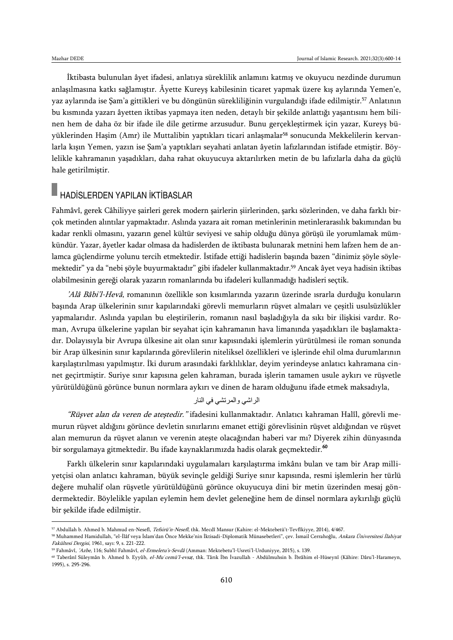$\overline{a}$ 

İktibasta bulunulan âyet ifadesi, anlatıya süreklilik anlamını katmış ve okuyucu nezdinde durumun anlaşılmasına katkı sağlamıştır. Âyette Kureyş kabilesinin ticaret yapmak üzere kış aylarında Yemen'e, yaz aylarında ise Şam'a gittikleri ve bu döngünün sürekliliğinin vurgulandığı ifade edilmiştir.<sup>57</sup> Anlatının bu kısmında yazarı âyetten iktibas yapmaya iten neden, detaylı bir şekilde anlattığı yaşantısını hem bilinen hem de daha öz bir ifade ile dile getirme arzusudur. Bunu gerçekleştirmek için yazar, Kureyş büyüklerinden Haşim (Amr) ile Muttalibin yaptıkları ticari anlaşmalar<sup>58</sup> sonucunda Mekkelilerin kervanlarla kışın Yemen, yazın ise Şam'a yaptıkları seyahati anlatan âyetin lafızlarından istifade etmiştir. Böylelikle kahramanın yaşadıkları, daha rahat okuyucuya aktarılırken metin de bu lafızlarla daha da güçlü hale getirilmiştir.

## HADİSLERDEN YAPILAN İKTİBASLAR

Fahmâvî, gerek Câhiliyye şairleri gerek modern şairlerin şiirlerinden, şarkı sözlerinden, ve daha farklı birçok metinden alıntılar yapmaktadır. Aslında yazara ait roman metinlerinin metinlerarasılık bakımından bu kadar renkli olmasını, yazarın genel kültür seviyesi ve sahip olduğu dünya görüşü ile yorumlamak mümkündür. Yazar, âyetler kadar olmasa da hadislerden de iktibasta bulunarak metnini hem lafzen hem de anlamca güçlendirme yolunu tercih etmektedir. İstifade ettiği hadislerin başında bazen "dinimiz şöyle söylemektedir" ya da "nebi şöyle buyurmaktadır" gibi ifadeler kullanmaktadır.<sup>59</sup> Ancak âyet veya hadisin iktibas olabilmesinin gereği olarak yazarın romanlarında bu ifadeleri kullanmadığı hadisleri seçtik.

'Alâ Bâbi'l-Hevâ, romanının özellikle son kısımlarında yazarın üzerinde ısrarla durduğu konuların başında Arap ülkelerinin sınır kapılarındaki görevli memurların rüşvet almaları ve çeşitli usulsüzlükler yapmalarıdır. Aslında yapılan bu eleştirilerin, romanın nasıl başladığıyla da sıkı bir ilişkisi vardır. Roman, Avrupa ülkelerine yapılan bir seyahat için kahramanın hava limanında yaşadıkları ile başlamaktadır. Dolayısıyla bir Avrupa ülkesine ait olan sınır kapısındaki işlemlerin yürütülmesi ile roman sonunda bir Arap ülkesinin sınır kapılarında görevlilerin niteliksel özellikleri ve işlerinde ehil olma durumlarının karşılaştırılması yapılmıştır. İki durum arasındaki farklılıklar, deyim yerindeyse anlatıcı kahramana cinnet geçirtmiştir. Suriye sınır kapısına gelen kahraman, burada işlerin tamamen usule aykırı ve rüşvetle yürütüldüğünü görünce bunun normlara aykırı ve dinen de haram olduğunu ifade etmek maksadıyla,

### الراشي والمرتشي في النار

"Rüşvet alan da veren de ateştedir." ifadesini kullanmaktadır. Anlatıcı kahraman Halîl, görevli memurun rüşvet aldığını görünce devletin sınırlarını emanet ettiği görevlisinin rüşvet aldığından ve rüşvet alan memurun da rüşvet alanın ve verenin ateşte olacağından haberi var mı? Diyerek zihin dünyasında bir sorgulamaya gitmektedir. Bu ifade kaynaklarımızda hadis olarak geçmektedir.<sup>60</sup>

Farklı ülkelerin sınır kapılarındaki uygulamaları karşılaştırma imkânı bulan ve tam bir Arap milliyetçisi olan anlatıcı kahraman, büyük sevinçle geldiği Suriye sınır kapısında, resmi işlemlerin her türlü değere muhalif olan rüşvetle yürütüldüğünü görünce okuyucuya dini bir metin üzerinden mesaj göndermektedir. Böylelikle yapılan eylemin hem devlet geleneğine hem de dinsel normlara aykırılığı güçlü bir şekilde ifade edilmiştir.

<sup>57</sup> Abdullah b. Ahmed b. Mahmud en-Nesefî, Tefsirü'n-Nesefî, thk. Mecdî Mansur (Kahire: el-Mektebetü't-Tevfîkiyye, 2014), 4/467.

<sup>58</sup> Muhammed Hamidullah, "el-İlâf veya İslam'dan Önce Mekke'nin İktisadi-Diplomatik Münasebetleri", çev. İsmail Cerrahoğlu, Ankara Üniversitesi İlahiyat Fakültesi Dergisi, 1961, sayı: 9, s. 221-222.

<sup>59</sup> Fahmâvî, 'Azbe, 116; Subhî Fahmâvî, el-Ermeletu's-Sevdâ (Amman: Mektebetu'l-Usreti'l-Urduniyye, 2015), s. 139.

<sup>60</sup> Taberânî Süleymân b. Ahmed b. Eyyûb, el-Mu*ʿ*cemü'l-evsa*ṭ*, thk. Târık İbn İvazullah - Abdülmuhsin b. İbrâhim el-Hüseynî (Kâhire: Dâru'l-Harameyn, 1995), s. 295-296.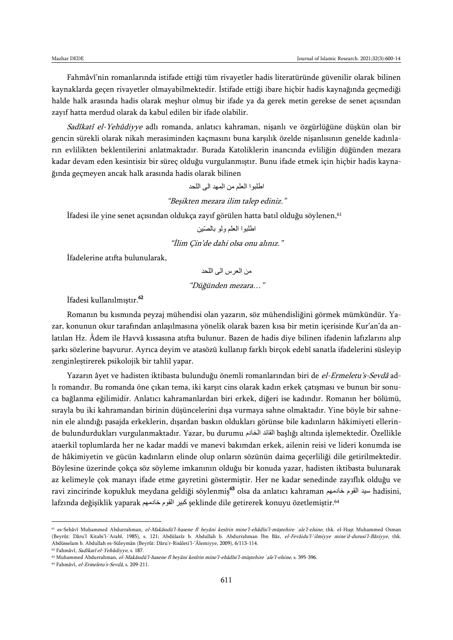Fahmâvî'nin romanlarında istifade ettiği tüm rivayetler hadis literatüründe güvenilir olarak bilinen kaynaklarda geçen rivayetler olmayabilmektedir. İstifade ettiği ibare hiçbir hadis kaynağında geçmediği halde halk arasında hadis olarak meşhur olmuş bir ifade ya da gerek metin gerekse de senet açısından zayıf hatta merdud olarak da kabul edilen bir ifade olabilir.

Sadîkatî el-Yehûdiyye adlı romanda, anlatıcı kahraman, nişanlı ve özgürlüğüne düşkün olan bir gencin sürekli olarak nikah merasiminden kaçmasını buna karşılık özelde nişanlısının genelde kadınların evlilikten beklentilerini anlatmaktadır. Burada Katoliklerin inancında evliliğin düğünden mezara kadar devam eden kesintisiz bir süreç olduğu vurgulanmıştır. Bunu ifade etmek için hiçbir hadis kaynağında geçmeyen ancak halk arasında hadis olarak bilinen

اطلبوا العلم من المهد الى اللحد

"Beşikten mezara ilim talep ediniz."

İfadesi ile yine senet açısından oldukça zayıf görülen hatta batıl olduğu söylenen,<sup>61</sup>

اطلبوا العلم ولو بالصّين

"İlim Çin'de dahi olsa onu alınız."

İfadelerine atıfta bulunularak,

من العرس الى اللحد

"Düğünden mezara…"

İfadesi kullanılmıştır.<sup>62</sup>

Romanın bu kısmında peyzaj mühendisi olan yazarın, söz mühendisliğini görmek mümkündür. Yazar, konunun okur tarafından anlaşılmasına yönelik olarak bazen kısa bir metin içerisinde Kur'an'da anlatılan Hz. Âdem ile Havvâ kıssasına atıfta bulunur. Bazen de hadis diye bilinen ifadenin lafızlarını alıp şarkı sözlerine başvurur. Ayrıca deyim ve atasözü kullanıp farklı birçok edebî sanatla ifadelerini süsleyip zenginleştirerek psikolojik bir tahlil yapar.

Yazarın âyet ve hadisten iktibasta bulunduğu önemli romanlarından biri de el-Ermeletu's-Sevdâ adlı romandır. Bu romanda öne çıkan tema, iki karşıt cins olarak kadın erkek çatışması ve bunun bir sonuca bağlanma eğilimidir. Anlatıcı kahramanlardan biri erkek, diğeri ise kadındır. Romanın her bölümü, sırayla bu iki kahramandan birinin düşüncelerini dışa vurmaya sahne olmaktadır. Yine böyle bir sahnenin ele alındığı pasajda erkeklerin, dışardan baskın oldukları görünse bile kadınların hâkimiyeti ellerinde bulundurdukları vurgulanmaktadır. Yazar, bu durumu الخادم القائد başlığı altında işlemektedir. Özellikle ataerkil toplumlarda her ne kadar maddi ve manevi bakımdan erkek, ailenin reisi ve lideri konumda ise de hâkimiyetin ve gücün kadınların elinde olup onların sözünün daima geçerliliği dile getirilmektedir. Böylesine üzerinde çokça söz söyleme imkanının olduğu bir konuda yazar, hadisten iktibasta bulunarak az kelimeyle çok manayı ifade etme gayretini göstermiştir. Her ne kadar senedinde zayıflık olduğu ve ravi zincirinde kopukluk meydana geldiği söylenmiş<sup>63</sup> olsa da anlatıcı kahraman خادمهم القوم سيد hadisini, lafzında değişiklik yaparak خادمهم القوم كبير şeklinde dile getirerek konuyu özetlemiştir.<sup>64</sup>

<sup>61</sup> es-Sehâvî Muhammed Abdurrahman, el-Makâsıdü'l-hasene fî beyâni kesîrin mine'l-ehâdîsi'l-müştehire *ʿ*ale'l-elsine, thk. el-Huşt Muhammed Osman (Beyrût: Dâru'l Kitabi'l-'Arabî, 1985), s. 121; Abdülazîz b. Abdullah b. Abdurrahman İbn Bâz, el-Fevâidu'l-'ilmiyye mine'd-durusi'l-Bâziyye, thk. Abdüsselam b. Abdullah es-Süleymân (Beyrût: Dâru'r-Risâleti'l-'Âlemiyye, 2009), 6/113-114.

<sup>62</sup> Fahmâvî, Sadîkatî el-Yehûdiyye, s. 187.

<sup>63</sup> Muhammed Abdurrahman, el-Makâsıdü'l-hasene fî beyâni kesîrin mine'l-ehâdîsi'l-müştehire *ʿ*ale'l-elsine, s. 395-396.

<sup>64</sup> Fahmâvî, el-Ermeletu's-Sevdâ, s. 209-211.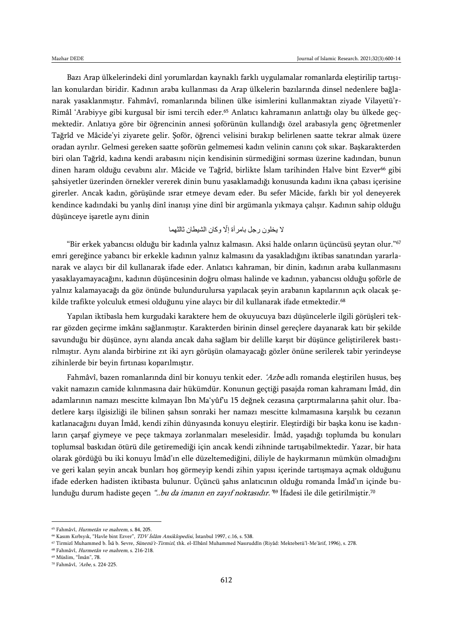Bazı Arap ülkelerindeki dinî yorumlardan kaynaklı farklı uygulamalar romanlarda eleştirilip tartışılan konulardan biridir. Kadının araba kullanması da Arap ülkelerin bazılarında dinsel nedenlere bağlanarak yasaklanmıştır. Fahmâvî, romanlarında bilinen ülke isimlerini kullanmaktan ziyade Vilayetü'r-Rimâl 'Arabiyye gibi kurgusal bir ismi tercih eder.<sup>65</sup> Anlatıcı kahramanın anlattığı olay bu ülkede geçmektedir. Anlatıya göre bir öğrencinin annesi şoförünün kullandığı özel arabasıyla genç öğretmenler Tağrîd ve Mâcide'yi ziyarete gelir. Şoför, öğrenci velisini bırakıp belirlenen saatte tekrar almak üzere oradan ayrılır. Gelmesi gereken saatte şoförün gelmemesi kadın velinin canını çok sıkar. Başkarakterden biri olan Tağrîd, kadına kendi arabasını niçin kendisinin sürmediğini sorması üzerine kadından, bunun dinen haram olduğu cevabını alır. Mâcide ve Tağrîd, birlikte İslam tarihinden Halve bint Ezver<sup>66</sup> gibi şahsiyetler üzerinden örnekler vererek dinin bunu yasaklamadığı konusunda kadını ikna çabası içerisine girerler. Ancak kadın, görüşünde ısrar etmeye devam eder. Bu sefer Mâcide, farklı bir yol deneyerek kendince kadındaki bu yanlış dinî inanışı yine dinî bir argümanla yıkmaya çalışır. Kadının sahip olduğu düşünceye işaretle aynı dinin

### لا يخلون رجل بامرأة إلّا وكان الشيطان ثالثهما

"Bir erkek yabancısı olduğu bir kadınla yalnız kalmasın. Aksi halde onların üçüncüsü şeytan olur."<sup>67</sup> emri gereğince yabancı bir erkekle kadının yalnız kalmasını da yasakladığını iktibas sanatından yararlanarak ve alaycı bir dil kullanarak ifade eder. Anlatıcı kahraman, bir dinin, kadının araba kullanmasını yasaklayamayacağını, kadının düşüncesinin doğru olması halinde ve kadının, yabancısı olduğu şoförle de yalnız kalamayacağı da göz önünde bulundurulursa yapılacak şeyin arabanın kapılarının açık olacak şekilde trafikte yolculuk etmesi olduğunu yine alaycı bir dil kullanarak ifade etmektedir.<sup>68</sup>

Yapılan iktibasla hem kurgudaki karaktere hem de okuyucuya bazı düşüncelerle ilgili görüşleri tekrar gözden geçirme imkânı sağlanmıştır. Karakterden birinin dinsel gereçlere dayanarak katı bir şekilde savunduğu bir düşünce, aynı alanda ancak daha sağlam bir delille karşıt bir düşünce geliştirilerek bastırılmıştır. Aynı alanda birbirine zıt iki ayrı görüşün olamayacağı gözler önüne serilerek tabir yerindeyse zihinlerde bir beyin fırtınası koparılmıştır.

Fahmâvî, bazen romanlarında dinî bir konuyu tenkit eder. 'Azbe adlı romanda eleştirilen husus, beş vakit namazın camide kılınmasına dair hükümdür. Konunun geçtiği pasajda roman kahramanı İmâd, din adamlarının namazı mescitte kılmayan İbn Ma'yûf'u 15 değnek cezasına çarptırmalarına şahit olur. İbadetlere karşı ilgisizliği ile bilinen şahsın sonraki her namazı mescitte kılmamasına karşılık bu cezanın katlanacağını duyan İmâd, kendi zihin dünyasında konuyu eleştirir. Eleştirdiği bir başka konu ise kadınların çarşaf giymeye ve peçe takmaya zorlanmaları meselesidir. İmâd, yaşadığı toplumda bu konuları toplumsal baskıdan ötürü dile getiremediği için ancak kendi zihninde tartışabilmektedir. Yazar, bir hata olarak gördüğü bu iki konuyu İmâd'ın elle düzeltemediğini, diliyle de haykırmanın mümkün olmadığını ve geri kalan şeyin ancak bunları hoş görmeyip kendi zihin yapısı içerinde tartışmaya açmak olduğunu ifade ederken hadisten iktibasta bulunur. Üçüncü şahıs anlatıcının olduğu romanda İmâd'ın içinde bulunduğu durum hadiste geçen *"..bu da imanın en zayıf noktasıdır."*% Ifadesi ile dile getirilmiştir.<sup>70</sup>

<sup>65</sup> Fahmâvî, Hurmetân ve mahrem, s. 84, 205.

<sup>66</sup> Kasım Kırbıyık, "Havle bint Ezver", TDV İslâm Ansiklopedisi, İstanbul 1997, c.16, s. 538.

<sup>67</sup> Tirmizî Muhammed b. Îsâ b. Sevre, Sünenü't-Tirmizî, thk. el-Elbânî Muhammed Nasıruddîn (Riyâd: Mektebetü'l-Me'ârif, 1996), s. 278.

<sup>68</sup> Fahmâvî, Hurmetân ve mahrem, s. 216-218.

<sup>69</sup> Müslim, "İmân", 78.

<sup>70</sup> Fahmâvî, 'Azbe, s. 224-225.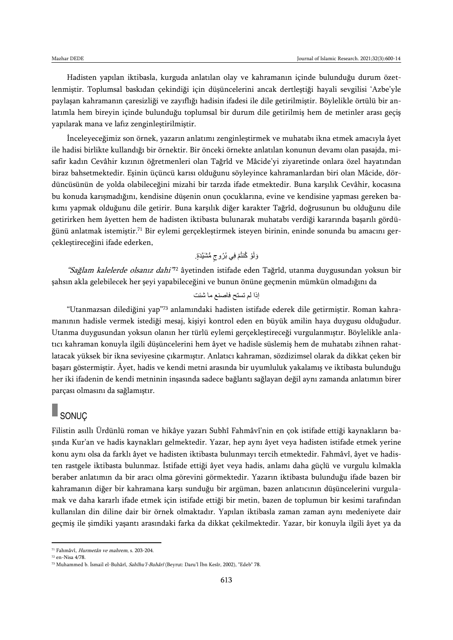Hadisten yapılan iktibasla, kurguda anlatılan olay ve kahramanın içinde bulunduğu durum özetlenmiştir. Toplumsal baskıdan çekindiği için düşüncelerini ancak dertleştiği hayali sevgilisi 'Azbe'yle paylaşan kahramanın çaresizliği ve zayıflığı hadisin ifadesi ile dile getirilmiştir. Böylelikle örtülü bir anlatımla hem bireyin içinde bulunduğu toplumsal bir durum dile getirilmiş hem de metinler arası geçiş yapılarak mana ve lafız zenginleştirilmiştir.

İnceleyeceğimiz son örnek, yazarın anlatımı zenginleştirmek ve muhatabı ikna etmek amacıyla âyet ile hadisi birlikte kullandığı bir örnektir. Bir önceki örnekte anlatılan konunun devamı olan pasajda, misafir kadın Cevâhir kızının öğretmenleri olan Tağrîd ve Mâcide'yi ziyaretinde onlara özel hayatından biraz bahsetmektedir. Eşinin üçüncü karısı olduğunu söyleyince kahramanlardan biri olan Mâcide, dördüncüsünün de yolda olabileceğini mizahi bir tarzda ifade etmektedir. Buna karşılık Cevâhir, kocasına bu konuda karışmadığını, kendisine düşenin onun çocuklarına, evine ve kendisine yapması gereken bakımı yapmak olduğunu dile getirir. Buna karşılık diğer karakter Tağrîd, doğrusunun bu olduğunu dile getirirken hem âyetten hem de hadisten iktibasta bulunarak muhatabı verdiği kararında başarılı gördüğünü anlatmak istemiştir.<sup>71</sup> Bir eylemi gerçekleştirmek isteyen birinin, eninde sonunda bu amacını gerçekleştireceğini ifade ederken,

وَلَوْ كُنتُمْ فِي بُرُوجٍ مُّشَيَّدَةٍ.

"*Sağlam kalelerde olsanız dahi"*"2 âyetinden istifade eden Tağrîd, utanma duygusundan yoksun bir şahsın akla gelebilecek her şeyi yapabileceğini ve bunun önüne geçmenin mümkün olmadığını da

إذا لم تستح فاصنع ما شئت

"Utanmazsan dilediğini yap"<sup>73</sup> anlamındaki hadisten istifade ederek dile getirmiştir. Roman kahramanının hadisle vermek istediği mesaj, kişiyi kontrol eden en büyük amilin haya duygusu olduğudur. Utanma duygusundan yoksun olanın her türlü eylemi gerçekleştireceği vurgulanmıştır. Böylelikle anlatıcı kahraman konuyla ilgili düşüncelerini hem âyet ve hadisle süslemiş hem de muhatabı zihnen rahatlatacak yüksek bir ikna seviyesine çıkarmıştır. Anlatıcı kahraman, sözdizimsel olarak da dikkat çeken bir başarı göstermiştir. Âyet, hadis ve kendi metni arasında bir uyumluluk yakalamış ve iktibasta bulunduğu her iki ifadenin de kendi metninin inşasında sadece bağlantı sağlayan değil aynı zamanda anlatımın birer parçası olmasını da sağlamıştır.

## SONUÇ

Filistin asıllı Ürdünlü roman ve hikâye yazarı Subhî Fahmâvî'nin en çok istifade ettiği kaynakların başında Kur'an ve hadis kaynakları gelmektedir. Yazar, hep aynı âyet veya hadisten istifade etmek yerine konu aynı olsa da farklı âyet ve hadisten iktibasta bulunmayı tercih etmektedir. Fahmâvî, âyet ve hadisten rastgele iktibasta bulunmaz. İstifade ettiği âyet veya hadis, anlamı daha güçlü ve vurgulu kılmakla beraber anlatımın da bir aracı olma görevini görmektedir. Yazarın iktibasta bulunduğu ifade bazen bir kahramanın diğer bir kahramana karşı sunduğu bir argüman, bazen anlatıcının düşüncelerini vurgulamak ve daha kararlı ifade etmek için istifade ettiği bir metin, bazen de toplumun bir kesimi tarafından kullanılan din diline dair bir örnek olmaktadır. Yapılan iktibasla zaman zaman aynı medeniyete dair geçmiş ile şimdiki yaşantı arasındaki farka da dikkat çekilmektedir. Yazar, bir konuyla ilgili âyet ya da

<sup>71</sup> Fahmâvî, Hurmetân ve mahrem, s. 203-204.

<sup>72</sup> en-Nisa 4/78.

<sup>73</sup> Muhammed b. İsmail el-Buhârî, Sahîhu'l-Buhârî (Beyrut: Daru'l İbn Kesîr, 2002), "Edeb" 78.